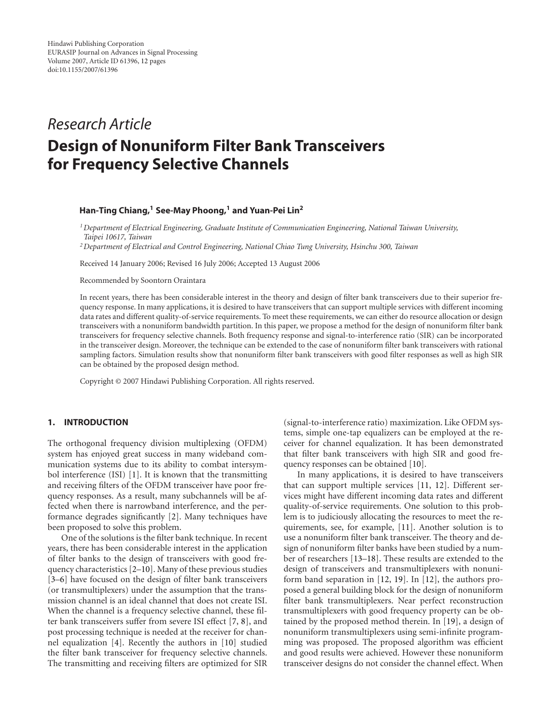# *Research Article*

# **Design of Nonuniform Filter Bank Transceivers for Frequency Selective Channels**

## **Han-Ting Chiang,1 See-May Phoong,1 and Yuan-Pei Lin2**

*1Department of Electrical Engineering, Graduate Institute of Communication Engineering, National Taiwan University, Taipei 10617, Taiwan*

*2Department of Electrical and Control Engineering, National Chiao Tung University, Hsinchu 300, Taiwan*

Received 14 January 2006; Revised 16 July 2006; Accepted 13 August 2006

Recommended by Soontorn Oraintara

In recent years, there has been considerable interest in the theory and design of filter bank transceivers due to their superior frequency response. In many applications, it is desired to have transceivers that can support multiple services with different incoming data rates and different quality-of-service requirements. To meet these requirements, we can either do resource allocation or design transceivers with a nonuniform bandwidth partition. In this paper, we propose a method for the design of nonuniform filter bank transceivers for frequency selective channels. Both frequency response and signal-to-interference ratio (SIR) can be incorporated in the transceiver design. Moreover, the technique can be extended to the case of nonuniform filter bank transceivers with rational sampling factors. Simulation results show that nonuniform filter bank transceivers with good filter responses as well as high SIR can be obtained by the proposed design method.

Copyright © 2007 Hindawi Publishing Corporation. All rights reserved.

#### **1. INTRODUCTION**

The orthogonal frequency division multiplexing (OFDM) system has enjoyed great success in many wideband communication systems due to its ability to combat intersymbol interference (ISI) [\[1\]](#page-10-1). It is known that the transmitting and receiving filters of the OFDM transceiver have poor frequency responses. As a result, many subchannels will be affected when there is narrowband interference, and the performance degrades significantly [\[2](#page-10-2)]. Many techniques have been proposed to solve this problem.

One of the solutions is the filter bank technique. In recent years, there has been considerable interest in the application of filter banks to the design of transceivers with good frequency characteristics [\[2](#page-10-2)[–10\]](#page-10-3). Many of these previous studies [\[3](#page-10-4)[–6](#page-10-5)] have focused on the design of filter bank transceivers (or transmultiplexers) under the assumption that the transmission channel is an ideal channel that does not create ISI. When the channel is a frequency selective channel, these filter bank transceivers suffer from severe ISI effect [\[7](#page-10-6), [8](#page-10-7)], and post processing technique is needed at the receiver for channel equalization [\[4\]](#page-10-8). Recently the authors in [\[10\]](#page-10-3) studied the filter bank transceiver for frequency selective channels. The transmitting and receiving filters are optimized for SIR

(signal-to-interference ratio) maximization. Like OFDM systems, simple one-tap equalizers can be employed at the receiver for channel equalization. It has been demonstrated that filter bank transceivers with high SIR and good frequency responses can be obtained [\[10](#page-10-3)].

In many applications, it is desired to have transceivers that can support multiple services [\[11](#page-10-9), [12](#page-10-10)]. Different services might have different incoming data rates and different quality-of-service requirements. One solution to this problem is to judiciously allocating the resources to meet the requirements, see, for example, [\[11](#page-10-9)]. Another solution is to use a nonuniform filter bank transceiver. The theory and design of nonuniform filter banks have been studied by a number of researchers [\[13](#page-10-11)[–18\]](#page-10-12). These results are extended to the design of transceivers and transmultiplexers with nonuniform band separation in [\[12](#page-10-10), [19](#page-11-0)]. In [\[12\]](#page-10-10), the authors proposed a general building block for the design of nonuniform filter bank transmultiplexers. Near perfect reconstruction transmultiplexers with good frequency property can be obtained by the proposed method therein. In [\[19\]](#page-11-0), a design of nonuniform transmultiplexers using semi-infinite programming was proposed. The proposed algorithm was efficient and good results were achieved. However these nonuniform transceiver designs do not consider the channel effect. When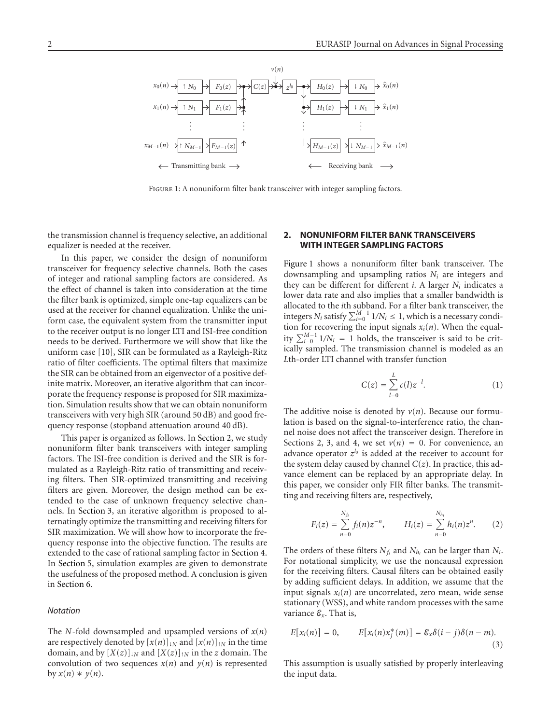

<span id="page-1-1"></span>FIGURE 1: A nonuniform filter bank transceiver with integer sampling factors.

the transmission channel is frequency selective, an additional equalizer is needed at the receiver.

In this paper, we consider the design of nonuniform transceiver for frequency selective channels. Both the cases of integer and rational sampling factors are considered. As the effect of channel is taken into consideration at the time the filter bank is optimized, simple one-tap equalizers can be used at the receiver for channel equalization. Unlike the uniform case, the equivalent system from the transmitter input to the receiver output is no longer LTI and ISI-free condition needs to be derived. Furthermore we will show that like the uniform case [\[10](#page-10-3)], SIR can be formulated as a Rayleigh-Ritz ratio of filter coefficients. The optimal filters that maximize the SIR can be obtained from an eigenvector of a positive definite matrix. Moreover, an iterative algorithm that can incorporate the frequency response is proposed for SIR maximization. Simulation results show that we can obtain nonuniform transceivers with very high SIR (around 50 dB) and good frequency response (stopband attenuation around 40 dB).

This paper is organized as follows. In [Section 2,](#page-1-0) we study nonuniform filter bank transceivers with integer sampling factors. The ISI-free condition is derived and the SIR is formulated as a Rayleigh-Ritz ratio of transmitting and receiving filters. Then SIR-optimized transmitting and receiving filters are given. Moreover, the design method can be extended to the case of unknown frequency selective channels. In [Section 3,](#page-4-0) an iterative algorithm is proposed to alternatingly optimize the transmitting and receiving filters for SIR maximization. We will show how to incorporate the frequency response into the objective function. The results are extended to the case of rational sampling factor in [Section 4.](#page-5-0) In [Section 5,](#page-6-0) simulation examples are given to demonstrate the usefulness of the proposed method. A conclusion is given in [Section 6.](#page-9-0)

#### *Notation*

The *N*-fold downsampled and upsampled versions of *x*(*n*) are respectively denoted by  $[x(n)]_{1N}$  and  $[x(n)]_{1N}$  in the time domain, and by  $[X(z)]_{\text{1N}}$  and  $[X(z)]_{\text{1N}}$  in the *z* domain. The convolution of two sequences  $x(n)$  and  $y(n)$  is represented by  $x(n) * y(n)$ .

# <span id="page-1-0"></span>**2. NONUNIFORM FILTER BANK TRANSCEIVERS WITH INTEGER SAMPLING FACTORS**

[Figure 1](#page-1-1) shows a nonuniform filter bank transceiver. The downsampling and upsampling ratios *Ni* are integers and they can be different for different  $i$ . A larger  $N_i$  indicates a lower data rate and also implies that a smaller bandwidth is allocated to the *i*th subband. For a filter bank transceiver, the integers  $N_i$  satisfy  $\sum_{i=0}^{M-1} 1/N_i \leq 1$ , which is a necessary condition for recovering the input signals  $x_i(n)$ . When the equality  $\sum_{i=0}^{M-1}$  1/N<sub>i</sub> = 1 holds, the transceiver is said to be critically sampled. The transmission channel is modeled as an *L*th-order LTI channel with transfer function

$$
C(z) = \sum_{l=0}^{L} c(l) z^{-l}.
$$
 (1)

The additive noise is denoted by  $v(n)$ . Because our formulation is based on the signal-to-interference ratio, the channel noise does not affect the transceiver design. Therefore in Sections [2,](#page-1-0) [3,](#page-4-0) and [4,](#page-5-0) we set  $v(n) = 0$ . For convenience, an advance operator  $z^{l_0}$  is added at the receiver to account for the system delay caused by channel  $C(z)$ . In practice, this advance element can be replaced by an appropriate delay. In this paper, we consider only FIR filter banks. The transmitting and receiving filters are, respectively,

$$
F_i(z) = \sum_{n=0}^{N_{f_i}} f_i(n) z^{-n}, \qquad H_i(z) = \sum_{n=0}^{N_{h_i}} h_i(n) z^n. \tag{2}
$$

The orders of these filters  $N_{f_i}$  and  $N_{h_i}$  can be larger than  $N_i$ . For notational simplicity, we use the noncausal expression for the receiving filters. Causal filters can be obtained easily by adding sufficient delays. In addition, we assume that the input signals  $x_i(n)$  are uncorrelated, zero mean, wide sense stationary (WSS), and white random processes with the same variance  $\mathcal{E}_x$ . That is,

<span id="page-1-2"></span>
$$
E[x_i(n)] = 0, \qquad E[x_i(n)x_j^*(m)] = \mathcal{E}_x \delta(i-j)\delta(n-m). \tag{3}
$$

This assumption is usually satisfied by properly interleaving the input data.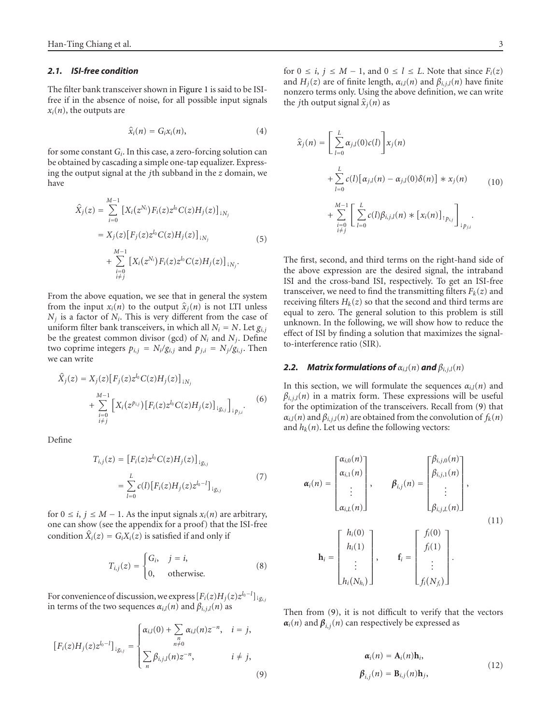#### *2.1. ISI-free condition*

The filter bank transceiver shown in [Figure 1](#page-1-1) is said to be ISIfree if in the absence of noise, for all possible input signals  $x_i(n)$ , the outputs are

$$
\widehat{x}_i(n) = G_i x_i(n), \tag{4}
$$

for some constant *Gi*. In this case, a zero-forcing solution can be obtained by cascading a simple one-tap equalizer. Expressing the output signal at the *j*th subband in the *z* domain, we have

$$
\hat{X}_j(z) = \sum_{i=0}^{M-1} \left[ X_i(z^{N_i}) F_i(z) z^{l_0} C(z) H_j(z) \right]_{1N_j}
$$
  
\n
$$
= X_j(z) \left[ F_j(z) z^{l_0} C(z) H_j(z) \right]_{1N_j}
$$
  
\n
$$
+ \sum_{\substack{i=0 \ i \neq j}}^{M-1} \left[ X_i(z^{N_i}) F_i(z) z^{l_0} C(z) H_j(z) \right]_{1N_j}.
$$
\n(5)

From the above equation, we see that in general the system from the input  $x_i(n)$  to the output  $\hat{x}_j(n)$  is not LTI unless  $N_i$  is a factor of  $N_i$ . This is very different from the case of uniform filter bank transceivers, in which all  $N_i = N$ . Let  $g_{i,j}$ be the greatest common divisor (gcd) of  $N_i$  and  $N_j$ . Define two coprime integers  $p_{i,j} = N_i/g_{i,j}$  and  $p_{j,i} = N_j/g_{i,j}$ . Then we can write

$$
\hat{X}_j(z) = X_j(z) [F_j(z)z^{l_0}C(z)H_j(z)]_{1N_j} \n+ \sum_{\substack{i=0 \ i \neq j}}^{M-1} \left[ X_i(z^{p_{i,j}}) [F_i(z)z^{l_0}C(z)H_j(z)]_{1g_{i,j}} \right]_{1p_{j,i}}.
$$
\n(6)

Define

<span id="page-2-3"></span>
$$
T_{i,j}(z) = [F_i(z)z^{l_0}C(z)H_j(z)]_{\downarrow g_{i,j}}
$$
  
= 
$$
\sum_{l=0}^{L} c(l)[F_i(z)H_j(z)z^{l_0-l}]_{\downarrow g_{i,j}}
$$
 (7)

for 0 ≤ *i*, *j* ≤ *M* − 1. As the input signals  $x_i(n)$  are arbitrary, one can show (see the appendix for a proof) that the ISI-free condition  $\hat{X}_i(z) = G_i X_i(z)$  is satisfied if and only if

<span id="page-2-4"></span>
$$
T_{i,j}(z) = \begin{cases} G_i, & j = i, \\ 0, & \text{otherwise.} \end{cases}
$$
 (8)

For convenience of discussion, we express  $[F_i(z)H_j(z)z^{l_0-l}]_{\downarrow g_{i,j}}$ in terms of the two sequences  $\alpha_{i,l}(n)$  and  $\beta_{i,j,l}(n)$  as

$$
[F_i(z)H_j(z)z^{l_0-l}]_{ig_{i,j}} = \begin{cases} \alpha_{i,l}(0) + \sum_{\substack{n \\ n \neq 0}} \alpha_{i,l}(n)z^{-n}, & i = j, \\ \sum_{n} \beta_{i,j,l}(n)z^{-n}, & i \neq j, \end{cases}
$$
(9)

for  $0 \le i, j \le M - 1$ , and  $0 \le l \le L$ . Note that since  $F_i(z)$ and  $H_i(z)$  are of finite length,  $\alpha_{i,l}(n)$  and  $\beta_{i,j,l}(n)$  have finite nonzero terms only. Using the above definition, we can write the *j*th output signal  $\hat{x}_j(n)$  as

<span id="page-2-1"></span>
$$
\hat{x}_{j}(n) = \left[\sum_{l=0}^{L} \alpha_{j,l}(0)c(l)\right] x_{j}(n) \n+ \sum_{l=0}^{L} c(l) [\alpha_{j,l}(n) - \alpha_{j,l}(0)\delta(n)] * x_{j}(n) \n+ \sum_{\substack{l=0 \ i \neq j}}^{M-1} \left[\sum_{l=0}^{L} c(l)\beta_{i,j,l}(n) * [x_{i}(n)]_{1 p_{i,j}}\right]_{1 p_{j,i}}.
$$
\n(10)

The first, second, and third terms on the right-hand side of the above expression are the desired signal, the intraband ISI and the cross-band ISI, respectively. To get an ISI-free transceiver, we need to find the transmitting filters  $F_k(z)$  and receiving filters  $H_k(z)$  so that the second and third terms are equal to zero. The general solution to this problem is still unknown. In the following, we will show how to reduce the effect of ISI by finding a solution that maximizes the signalto-interference ratio (SIR).

#### 2.2. *Matrix formulations of*  $\alpha_{i,l}(n)$  *and*  $\beta_{i,j,l}(n)$

<span id="page-2-5"></span>In this section, we will formulate the sequences  $\alpha_{i,l}(n)$  and  $\beta_{i,j,l}(n)$  in a matrix form. These expressions will be useful for the optimization of the transceivers. Recall from [\(9\)](#page-2-0) that  $\alpha_{i,l}(n)$  and  $\beta_{i,j,l}(n)$  are obtained from the convolution of  $f_k(n)$ and  $h_k(n)$ . Let us define the following vectors:

$$
\boldsymbol{\alpha}_{i}(n) = \begin{bmatrix} \alpha_{i,0}(n) \\ \alpha_{i,1}(n) \\ \vdots \\ \alpha_{i,L}(n) \end{bmatrix}, \qquad \boldsymbol{\beta}_{i,j}(n) = \begin{bmatrix} \beta_{i,j,0}(n) \\ \beta_{i,j,1}(n) \\ \vdots \\ \beta_{i,j,L}(n) \end{bmatrix},
$$
\n
$$
\mathbf{h}_{i} = \begin{bmatrix} h_{i}(0) \\ h_{i}(1) \\ \vdots \\ h_{i}(N_{h_{i}}) \end{bmatrix}, \qquad \mathbf{f}_{i} = \begin{bmatrix} f_{i}(0) \\ f_{i}(1) \\ \vdots \\ f_{i}(N_{f_{i}}) \end{bmatrix}.
$$
\n(11)

<span id="page-2-0"></span>Then from [\(9\)](#page-2-0), it is not difficult to verify that the vectors  $\alpha$ <sup>*i*</sup>(*n*) and  $\beta$ <sub>*i*,*j*</sub>(*n*) can respectively be expressed as

<span id="page-2-2"></span>
$$
\alpha_i(n) = \mathbf{A}_i(n)\mathbf{h}_i,
$$
  
\n
$$
\beta_{i,j}(n) = \mathbf{B}_{i,j}(n)\mathbf{h}_j,
$$
\n(12)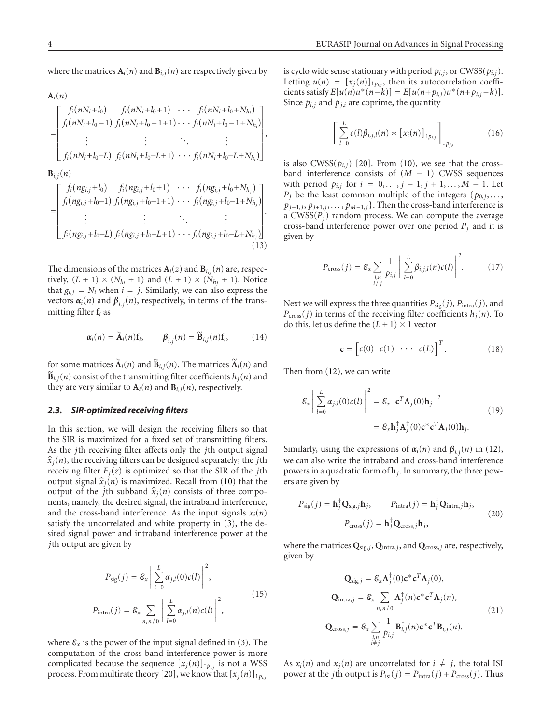where the matrices  $A_i(n)$  and  $B_{i,j}(n)$  are respectively given by

$$
\mathbf{A}_{i}(n)
$$
\n
$$
= \begin{bmatrix}\nf_{i}(nN_{i}+l_{0}) & f_{i}(nN_{i}+l_{0}+1) & \cdots & f_{i}(nN_{i}+l_{0}+N_{h_{i}}) \\
f_{i}(nN_{i}+l_{0}-1) & f_{i}(nN_{i}+l_{0}-1+1) & \cdots & f_{i}(nN_{i}+l_{0}-1+N_{h_{i}}) \\
\vdots & \vdots & \ddots & \vdots \\
f_{i}(nN_{i}+l_{0}-L) & f_{i}(nN_{i}+l_{0}-L+1) & \cdots & f_{i}(nN_{i}+l_{0}-L+N_{h_{i}})\n\end{bmatrix},
$$
\n
$$
\mathbf{B}_{i,j}(n)
$$
\n
$$
= \begin{bmatrix}\nf_{i}(ng_{i,j}+l_{0}) & f_{i}(ng_{i,j}+l_{0}+1) & \cdots & f_{i}(ng_{i,j}+l_{0}+N_{h_{j}}) \\
f_{i}(ng_{i,j}+l_{0}-1) & f_{i}(ng_{i,j}+l_{0}-1+1) & \cdots & f_{i}(ng_{i,j}+l_{0}-1+N_{h_{j}}) \\
\vdots & \vdots & \ddots & \vdots \\
f_{i}(ng_{i,j}+l_{0}-L) & f_{i}(ng_{i,j}+l_{0}-L+1) & \cdots & f_{i}(ng_{i,j}+l_{0}-L+N_{h_{j}})\n\end{bmatrix}.
$$
\n(13)

The dimensions of the matrices  $A_i(z)$  and  $B_{i,j}(n)$  are, respectively,  $(L + 1) \times (N_{h_i} + 1)$  and  $(L + 1) \times (N_{h_i} + 1)$ . Notice that  $g_{i,j} = N_i$  when  $i = j$ . Similarly, we can also express the vectors  $\alpha_i(n)$  and  $\beta_{i,j}(n)$ , respectively, in terms of the transmitting filter **f***<sup>i</sup>* as

$$
\boldsymbol{\alpha}_i(n) = \widetilde{\mathbf{A}}_i(n)\mathbf{f}_i, \qquad \boldsymbol{\beta}_{i,j}(n) = \widetilde{\mathbf{B}}_{i,j}(n)\mathbf{f}_i, \qquad (14)
$$

for some matrices  $\widetilde{A}_i(n)$  and  $\widetilde{B}_{i,j}(n)$ . The matrices  $\widetilde{A}_i(n)$  and  $\widetilde{\mathbf{B}}_{i,j}(n)$  consist of the transmitting filter coefficients  $h_j(n)$  and they are very similar to  $A_i(n)$  and  $B_{i,j}(n)$ , respectively.

#### *2.3. SIR-optimized receiving filters*

In this section, we will design the receiving filters so that the SIR is maximized for a fixed set of transmitting filters. As the *j*th receiving filter affects only the *j*th output signal  $\hat{x}_j(n)$ , the receiving filters can be designed separately; the *j*th receiving filter  $F_i(z)$  is optimized so that the SIR of the *j*th output signal  $\hat{x}_j(n)$  is maximized. Recall from [\(10\)](#page-2-1) that the output of the *j*th subband  $\hat{x}_j(n)$  consists of three components, namely, the desired signal, the intraband interference, and the cross-band interference. As the input signals  $x_i(n)$ satisfy the uncorrelated and white property in [\(3\)](#page-1-2), the desired signal power and intraband interference power at the *j*th output are given by

$$
P_{\text{sig}}(j) = \mathcal{E}_x \left| \sum_{l=0}^{L} \alpha_{j,l}(0) c(l) \right|^2,
$$
  

$$
P_{\text{intra}}(j) = \mathcal{E}_x \sum_{n, n \neq 0} \left| \sum_{l=0}^{L} \alpha_{j,l}(n) c(l) \right|^2,
$$
 (15)

where  $\mathcal{E}_x$  is the power of the input signal defined in [\(3\)](#page-1-2). The computation of the cross-band interference power is more complicated because the sequence  $[x_j(n)]_{\uparrow p_{i,j}}$  is not a WSS process. From multirate theory [\[20\]](#page-11-1), we know that  $[x_i(n)]_{\uparrow p_{i,j}}$ 

is cyclo wide sense stationary with period  $p_{i,j}$ , or CWSS( $p_{i,j}$ ). Letting  $u(n) = [x_j(n)]_{p_{i,j}}$ , then its autocorrelation coeffi- $\text{cients satisfy } E[u(n)u^*(n-k)] = E[u(n+p_{i,j})u^*(n+p_{i,j}-k)].$ Since  $p_{i,j}$  and  $p_{j,i}$  are coprime, the quantity

$$
\left[\sum_{l=0}^{L} c(l)\beta_{i,j,l}(n) * [x_i(n)]_{\uparrow p_{i,j}}\right]_{\downarrow p_{j,i}} \tag{16}
$$

is also  $CWSS(p_{i,j})$  [\[20\]](#page-11-1). From [\(10\)](#page-2-1), we see that the crossband interference consists of (*M* − 1) CWSS sequences with period  $p_{i,j}$  for  $i = 0, ..., j - 1, j + 1, ..., M - 1$ . Let  $P_j$  be the least common multiple of the integers { $p_{0,j}$ ,..., *p*<sub>*j*−1,*j*</sub>, *p*<sub>*j*+1,*j*</sub>, *...*, *p*<sub>*M*−1,*j*</sub>}. Then the cross-band interference is a  $CWSS(P<sub>j</sub>)$  random process. We can compute the average cross-band interference power over one period  $P_j$  and it is given by

$$
P_{\text{cross}}(j) = \mathcal{E}_x \sum_{\substack{i, n \\ i \neq j}} \frac{1}{p_{i,j}} \left| \sum_{l=0}^{L} \beta_{i,j,l}(n) c(l) \right|^2.
$$
 (17)

Next we will express the three quantities  $P_{\text{sig}}(j)$ ,  $P_{\text{intra}}(j)$ , and  $P_{\text{cross}}(j)$  in terms of the receiving filter coefficients  $h_j(n)$ . To do this, let us define the  $(L + 1) \times 1$  vector

$$
\mathbf{c} = \begin{bmatrix} c(0) & c(1) & \cdots & c(L) \end{bmatrix}^T.
$$
 (18)

Then from [\(12\)](#page-2-2), we can write

$$
\mathcal{E}_{x} \left| \sum_{l=0}^{L} \alpha_{j,l}(0) c(l) \right|^{2} = \mathcal{E}_{x} \left| \left| \mathbf{c}^{T} \mathbf{A}_{j}(0) \mathbf{h}_{j} \right| \right|^{2}
$$
\n
$$
= \mathcal{E}_{x} \mathbf{h}_{j}^{\dagger} \mathbf{A}_{j}^{\dagger}(0) \mathbf{c}^{*} \mathbf{c}^{T} \mathbf{A}_{j}(0) \mathbf{h}_{j}.
$$
\n(19)

Similarly, using the expressions of  $\alpha_i(n)$  and  $\beta_{i,j}(n)$  in [\(12\)](#page-2-2), we can also write the intraband and cross-band interference powers in a quadratic form of **h***j*. In summary, the three powers are given by

<span id="page-3-0"></span>
$$
P_{\text{sig}}(j) = \mathbf{h}_j^{\dagger} \mathbf{Q}_{\text{sig},j} \mathbf{h}_j, \qquad P_{\text{intra}}(j) = \mathbf{h}_j^{\dagger} \mathbf{Q}_{\text{intra},j} \mathbf{h}_j, P_{\text{cross}}(j) = \mathbf{h}_j^{\dagger} \mathbf{Q}_{\text{cross},j} \mathbf{h}_j,
$$
(20)

where the matrices **Q**sig,*j*, **Q**intra,*j*, and **Q**cross,*<sup>j</sup>* are, respectively, given by

<span id="page-3-1"></span>
$$
\mathbf{Q}_{\text{sig},j} = \mathcal{E}_x \mathbf{A}_j^{\dagger}(0) \mathbf{c}^* \mathbf{c}^T \mathbf{A}_j(0),
$$
  
\n
$$
\mathbf{Q}_{\text{intra},j} = \mathcal{E}_x \sum_{n, n \neq 0} \mathbf{A}_j^{\dagger}(n) \mathbf{c}^* \mathbf{c}^T \mathbf{A}_j(n),
$$
  
\n
$$
\mathbf{Q}_{\text{cross},j} = \mathcal{E}_x \sum_{\substack{i, n \\ i \neq j}} \frac{1}{p_{i,j}} \mathbf{B}_{i,j}^{\dagger}(n) \mathbf{c}^* \mathbf{c}^T \mathbf{B}_{i,j}(n).
$$
\n(21)

As  $x_i(n)$  and  $x_j(n)$  are uncorrelated for  $i \neq j$ , the total ISI power at the *j*th output is  $P_{isi}(j) = P_{intra}(j) + P_{cross}(j)$ . Thus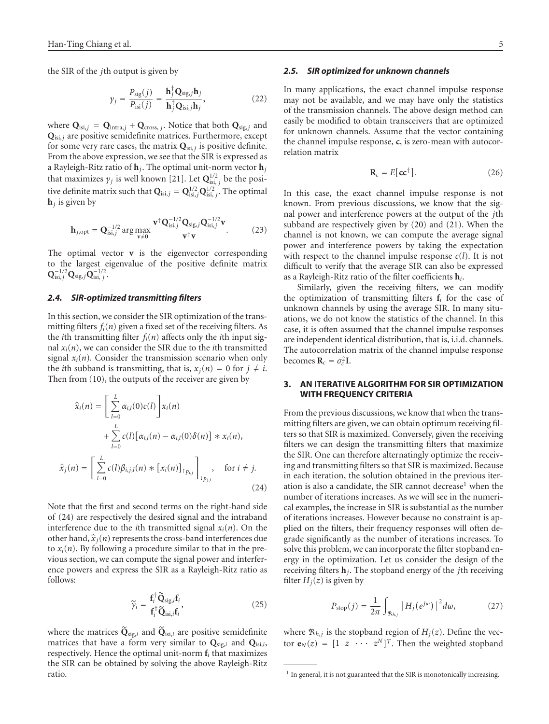the SIR of the *j*th output is given by

<span id="page-4-2"></span>
$$
\gamma_j = \frac{P_{\text{sig}}(j)}{P_{\text{isi}}(j)} = \frac{\mathbf{h}_j^{\dagger} \mathbf{Q}_{\text{sig},j} \mathbf{h}_j}{\mathbf{h}_j^{\dagger} \mathbf{Q}_{\text{isi},j} \mathbf{h}_j},
$$
(22)

where  $\mathbf{Q}_{\text{isi},j} = \mathbf{Q}_{\text{intra},j} + \mathbf{Q}_{\text{cross},j}$ . Notice that both  $\mathbf{Q}_{\text{sig},j}$  and **Q**isi,*<sup>j</sup>* are positive semidefinite matrices. Furthermore, except for some very rare cases, the matrix  $Q_{isi,j}$  is positive definite. From the above expression, we see that the SIR is expressed as a Rayleigh-Ritz ratio of **h***j*. The optimal unit-norm vector **h***<sup>j</sup>* that maximizes  $\gamma_j$  is well known [\[21\]](#page-11-2). Let  $\mathbf{Q}^{1/2}_{\text{isi}, j}$  be the positive definite matrix such that  $Q_{isi,j} = Q_{isi,j}^{1/2} Q_{isi,j}^{1/2}$ . The optimal  $h_i$  is given by

$$
\mathbf{h}_{j,\text{opt}} = \mathbf{Q}_{\text{isi},j}^{-1/2} \arg \max_{\mathbf{v} \neq \mathbf{0}} \frac{\mathbf{v}^{\dagger} \mathbf{Q}_{\text{isi},j}^{-1/2} \mathbf{Q}_{\text{sig},j} \mathbf{Q}_{\text{isi},j}^{-1/2} \mathbf{v}}{\mathbf{v}^{\dagger} \mathbf{v}}.
$$
(23)

The optimal vector **v** is the eigenvector corresponding to the largest eigenvalue of the positive definite matrix  $Q_{isi,j}^{-1/2}Q_{sig,j}Q_{isi,j}^{-1/2}$ 

#### *2.4. SIR-optimized transmitting filters*

In this section, we consider the SIR optimization of the transmitting filters *fi*(*n*) given a fixed set of the receiving filters. As the *i*th transmitting filter  $f_i(n)$  affects only the *i*th input signal  $x_i(n)$ , we can consider the SIR due to the *i*th transmitted signal  $x_i(n)$ . Consider the transmission scenario when only the *i*th subband is transmitting, that is,  $x_i(n) = 0$  for  $j \neq i$ . Then from [\(10\)](#page-2-1), the outputs of the receiver are given by

$$
\hat{x}_i(n) = \left[\sum_{l=0}^L \alpha_{i,l}(0)c(l)\right] x_i(n)
$$
  
+ 
$$
\sum_{l=0}^L c(l) [\alpha_{i,l}(n) - \alpha_{i,l}(0)\delta(n)] * x_i(n),
$$
  

$$
\hat{x}_j(n) = \left[\sum_{l=0}^L c(l)\beta_{i,j,l}(n) * [x_i(n)]_{\uparrow p_{i,j}}\right]_{\downarrow p_{j,i}}, \text{ for } i \neq j.
$$
\n(24)

Note that the first and second terms on the right-hand side of [\(24\)](#page-4-1) are respectively the desired signal and the intraband interference due to the *i*th transmitted signal  $x_i(n)$ . On the other hand,  $\hat{x}_j(n)$  represents the cross-band interferences due to  $x_i(n)$ . By following a procedure similar to that in the previous section, we can compute the signal power and interference powers and express the SIR as a Rayleigh-Ritz ratio as follows:

$$
\widetilde{\gamma}_i = \frac{\mathbf{f}_i^{\dagger} \widetilde{\mathbf{Q}}_{\text{sig},i} \mathbf{f}_i}{\mathbf{f}_i^{\dagger} \widetilde{\mathbf{Q}}_{\text{isi},i} \mathbf{f}_i},\tag{25}
$$

where the matrices  $\tilde{\mathbf{Q}}_{\text{sig},i}$  and  $\tilde{\mathbf{Q}}_{\text{isi},i}$  are positive semidefinite matrices that have a form very similar to **Q**sig,*<sup>i</sup>* and **Q**isi,*i*, respectively. Hence the optimal unit-norm **f***<sup>i</sup>* that maximizes the SIR can be obtained by solving the above Rayleigh-Ritz ratio.

#### *2.5. SIR optimized for unknown channels*

In many applications, the exact channel impulse response may not be available, and we may have only the statistics of the transmission channels. The above design method can easily be modified to obtain transceivers that are optimized for unknown channels. Assume that the vector containing the channel impulse response, **c**, is zero-mean with autocorrelation matrix

$$
\mathbf{R}_c = E[\mathbf{cc}^\dagger].\tag{26}
$$

In this case, the exact channel impulse response is not known. From previous discussions, we know that the signal power and interference powers at the output of the *j*th subband are respectively given by [\(20\)](#page-3-0) and [\(21\)](#page-3-1). When the channel is not known, we can compute the average signal power and interference powers by taking the expectation with respect to the channel impulse response  $c(l)$ . It is not difficult to verify that the average SIR can also be expressed as a Rayleigh-Ritz ratio of the filter coefficients **h***i*.

Similarly, given the receiving filters, we can modify the optimization of transmitting filters  $f_i$  for the case of unknown channels by using the average SIR. In many situations, we do not know the statistics of the channel. In this case, it is often assumed that the channel impulse responses are independent identical distribution, that is, i.i.d. channels. The autocorrelation matrix of the channel impulse response becomes  $\mathbf{R}_c = \sigma_c^2 \mathbf{I}$ .

# <span id="page-4-0"></span>**3. AN ITERATIVE ALGORITHM FOR SIR OPTIMIZATION WITH FREQUENCY CRITERIA**

<span id="page-4-1"></span>From the previous discussions, we know that when the transmitting filters are given, we can obtain optimum receiving filters so that SIR is maximized. Conversely, given the receiving filters we can design the transmitting filters that maximize the SIR. One can therefore alternatingly optimize the receiving and transmitting filters so that SIR is maximized. Because in each iteration, the solution obtained in the previous iteration is also a candidate, the SIR cannot decrease<sup>1</sup> when the number of iterations increases. As we will see in the numerical examples, the increase in SIR is substantial as the number of iterations increases. However because no constraint is applied on the filters, their frequency responses will often degrade significantly as the number of iterations increases. To solve this problem, we can incorporate the filter stopband energy in the optimization. Let us consider the design of the receiving filters **h***j*. The stopband energy of the *j*th receiving filter  $H_i(z)$  is given by

$$
P_{\text{stop}}(j) = \frac{1}{2\pi} \int_{\Re_{h,j}} |H_j(e^{j\omega})|^2 d\omega, \tag{27}
$$

where  $\mathfrak{R}_{h,j}$  is the stopband region of  $H_j(z)$ . Define the vector  $\mathbf{e}_N(z) = [1 \ z \ \cdots \ z^N]^T$ . Then the weighted stopband

<sup>&</sup>lt;sup>1</sup> In general, it is not guaranteed that the SIR is monotonically increasing.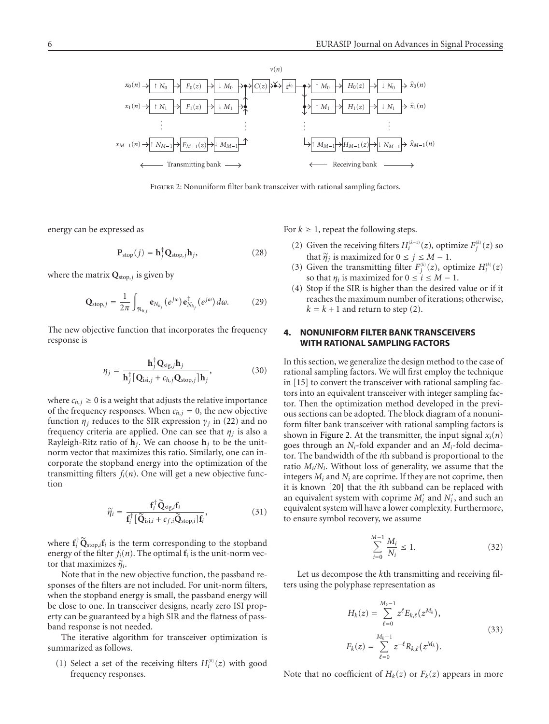

<span id="page-5-1"></span>Figure 2: Nonuniform filter bank transceiver with rational sampling factors.

energy can be expressed as

$$
\mathbf{P}_{\text{stop}}(j) = \mathbf{h}_j^{\dagger} \mathbf{Q}_{\text{stop},j} \mathbf{h}_j,\tag{28}
$$

where the matrix **Q**stop,*<sup>j</sup>* is given by

$$
\mathbf{Q}_{\text{stop},j} = \frac{1}{2\pi} \int_{\Re_{h,j}} \mathbf{e}_{N_{h_j}}(e^{j\omega}) \mathbf{e}_{N_{h_j}}^{\dagger}(e^{j\omega}) d\omega. \tag{29}
$$

The new objective function that incorporates the frequency response is

$$
\eta_j = \frac{\mathbf{h}_j^{\dagger} \mathbf{Q}_{\text{sig},j} \mathbf{h}_j}{\mathbf{h}_j^{\dagger} \left[ \mathbf{Q}_{\text{isi},j} + c_{h,j} \mathbf{Q}_{\text{stop},j} \right] \mathbf{h}_j},\tag{30}
$$

where  $c_{h,j} \geq 0$  is a weight that adjusts the relative importance of the frequency responses. When  $c_{h,j} = 0$ , the new objective function  $\eta_i$  reduces to the SIR expression  $\gamma_i$  in [\(22\)](#page-4-2) and no frequency criteria are applied. One can see that *ηj* is also a Rayleigh-Ritz ratio of  $\mathbf{h}_i$ . We can choose  $\mathbf{h}_i$  to be the unitnorm vector that maximizes this ratio. Similarly, one can incorporate the stopband energy into the optimization of the transmitting filters  $f_i(n)$ . One will get a new objective function

$$
\widetilde{\eta}_i = \frac{\mathbf{f}_i^{\dagger} \widetilde{\mathbf{Q}}_{\text{sig},i} \mathbf{f}_i}{\mathbf{f}_i^{\dagger} [\widetilde{\mathbf{Q}}_{\text{isi},i} + c_{f,i} \widetilde{\mathbf{Q}}_{\text{stop},i}] \mathbf{f}_i},\tag{31}
$$

where  $\mathbf{f}_i^{\dagger} \widetilde{\mathbf{Q}}_{\text{stop},i} \mathbf{f}_i$  is the term corresponding to the stopband energy of the filter  $f_i(n)$ . The optimal  $f_i$  is the unit-norm vector that maximizes *<sup>η</sup><sup>i</sup>*.

Note that in the new objective function, the passband responses of the filters are not included. For unit-norm filters, when the stopband energy is small, the passband energy will be close to one. In transceiver designs, nearly zero ISI property can be guaranteed by a high SIR and the flatness of passband response is not needed.

The iterative algorithm for transceiver optimization is summarized as follows.

(1) Select a set of the receiving filters  $H_i^{(0)}(z)$  with good frequency responses.

For  $k \geq 1$ , repeat the following steps.

- (2) Given the receiving filters  $H_i^{(k-1)}(z)$ , optimize  $F_j^{(k)}(z)$  so that  $\tilde{\eta}_j$  is maximized for  $0 \le j \le M - 1$ .
- (3) Given the transmitting filter  $F_j^{(k)}(z)$ , optimize  $H_i^{(k)}(z)$ so that  $\eta_i$  is maximized for  $0 \le i \le M - 1$ .
- (4) Stop if the SIR is higher than the desired value or if it reaches the maximum number of iterations; otherwise,  $k = k + 1$  and return to step (2).

## <span id="page-5-0"></span>**4. NONUNIFORM FILTER BANK TRANSCEIVERS WITH RATIONAL SAMPLING FACTORS**

In this section, we generalize the design method to the case of rational sampling factors. We will first employ the technique in [\[15\]](#page-10-13) to convert the transceiver with rational sampling factors into an equivalent transceiver with integer sampling factor. Then the optimization method developed in the previous sections can be adopted. The block diagram of a nonuniform filter bank transceiver with rational sampling factors is shown in [Figure 2.](#page-5-1) At the transmitter, the input signal  $x_i(n)$ goes through an *Ni*-fold expander and an *Mi*-fold decimator. The bandwidth of the *i*th subband is proportional to the ratio *Mi/Ni*. Without loss of generality, we assume that the integers *Mi* and *Ni* are coprime. If they are not coprime, then it is known [\[20\]](#page-11-1) that the *i*th subband can be replaced with an equivalent system with coprime  $M'_i$  and  $N'_i$ , and such an equivalent system will have a lower complexity. Furthermore, to ensure symbol recovery, we assume

$$
\sum_{i=0}^{M-1} \frac{M_i}{N_i} \le 1.
$$
\n(32)

Let us decompose the *k*th transmitting and receiving filters using the polyphase representation as

<span id="page-5-2"></span>
$$
H_k(z) = \sum_{\ell=0}^{M_k-1} z^{\ell} E_{k,\ell}(z^{M_k}),
$$
  
\n
$$
F_k(z) = \sum_{\ell=0}^{M_k-1} z^{-\ell} R_{k,\ell}(z^{M_k}).
$$
\n(33)

Note that no coefficient of  $H_k(z)$  or  $F_k(z)$  appears in more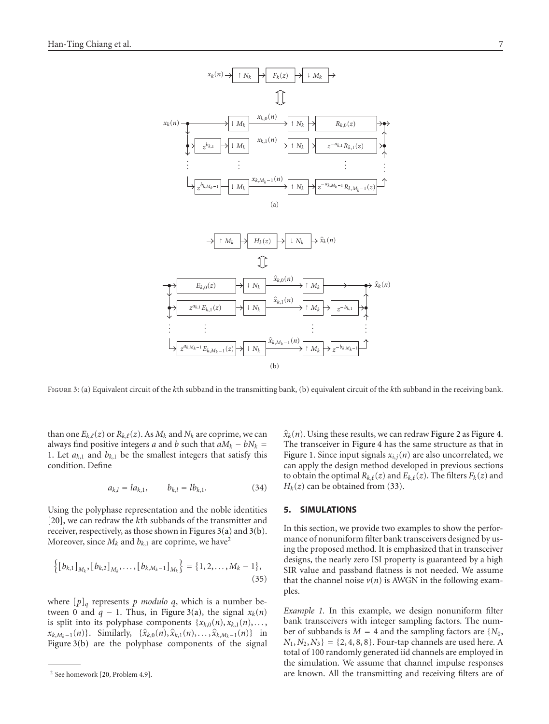<span id="page-6-1"></span>

<span id="page-6-2"></span>Figure 3: (a) Equivalent circuit of the *k*th subband in the transmitting bank, (b) equivalent circuit of the *k*th subband in the receiving bank.

than one  $E_{k,\ell}(z)$  or  $R_{k,\ell}(z)$ . As  $M_k$  and  $N_k$  are coprime, we can always find positive integers *a* and *b* such that  $aM_k - bN_k =$ 1. Let  $a_{k,1}$  and  $b_{k,1}$  be the smallest integers that satisfy this condition. Define

$$
a_{k,l} = la_{k,1}, \qquad b_{k,l} = lb_{k,1}.
$$
 (34)

Using the polyphase representation and the noble identities [\[20](#page-11-1)], we can redraw the *k*th subbands of the transmitter and receiver, respectively, as those shown in Figures [3\(a\)](#page-6-1) and [3\(b\).](#page-6-2) Moreover, since  $M_k$  and  $b_{k,1}$  are coprime, we have<sup>2</sup>

$$
\left\{ \left[b_{k,1}\right]_{M_k}, \left[b_{k,2}\right]_{M_k}, \ldots, \left[b_{k,M_k-1}\right]_{M_k} \right\} = \left\{1, 2, \ldots, M_k - 1\right\},\tag{35}
$$

where  $[p]_q$  represents *p modulo q*, which is a number between 0 and  $q - 1$ . Thus, in [Figure 3\(a\),](#page-6-1) the signal  $x_k(n)$ is split into its polyphase components  $\{x_{k,0}(n), x_{k,1}(n), \ldots\}$  $x_{k,M_k-1}(n)$ }. Similarly,  $\{\hat{x}_{k,0}(n), \hat{x}_{k,1}(n), \ldots, \hat{x}_{k,M_k-1}(n)\}$  in [Figure 3\(b\)](#page-6-2) are the polyphase components of the signal

 $\hat{x}_k(n)$ . Using these results, we can redraw [Figure 2](#page-5-1) as [Figure 4.](#page-7-0) The transceiver in [Figure 4](#page-7-0) has the same structure as that in [Figure 1.](#page-1-1) Since input signals  $x_{i,j}(n)$  are also uncorrelated, we can apply the design method developed in previous sections to obtain the optimal  $R_{k,\ell}(z)$  and  $E_{k,\ell}(z)$ . The filters  $F_k(z)$  and  $H_k(z)$  can be obtained from [\(33\)](#page-5-2).

#### <span id="page-6-0"></span>**5. SIMULATIONS**

In this section, we provide two examples to show the performance of nonuniform filter bank transceivers designed by using the proposed method. It is emphasized that in transceiver designs, the nearly zero ISI property is guaranteed by a high SIR value and passband flatness is not needed. We assume that the channel noise  $v(n)$  is AWGN in the following examples.

*Example 1.* In this example, we design nonuniform filter bank transceivers with integer sampling factors. The number of subbands is  $M = 4$  and the sampling factors are  $\{N_0,$  $N_1, N_2, N_3$  = {2, 4, 8, 8}. Four-tap channels are used here. A total of 100 randomly generated iid channels are employed in the simulation. We assume that channel impulse responses are known. All the transmitting and receiving filters are of

<sup>2</sup> See homework [\[20](#page-11-1), Problem 4.9].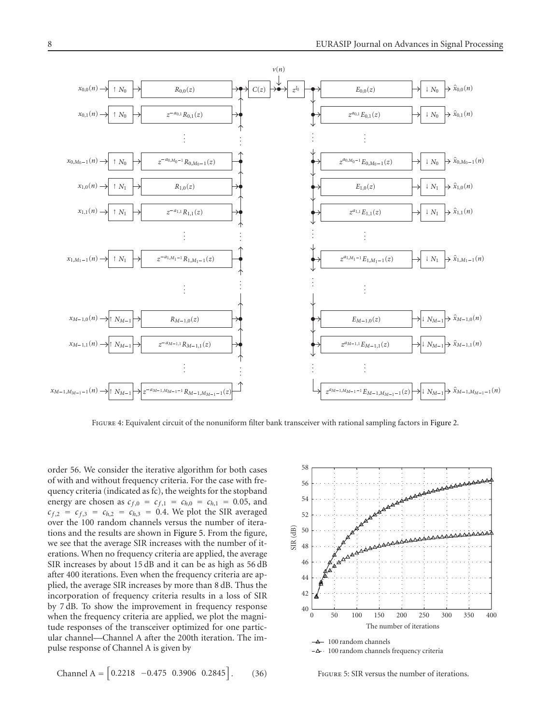

<span id="page-7-0"></span>FIGURE 4: Equivalent circuit of the nonuniform filter bank transceiver with rational sampling factors in [Figure 2.](#page-5-1)

order 56. We consider the iterative algorithm for both cases of with and without frequency criteria. For the case with frequency criteria (indicated as fc), the weights for the stopband energy are chosen as  $c_{f,0} = c_{f,1} = c_{h,0} = c_{h,1} = 0.05$ , and  $c_{f,2} = c_{f,3} = c_{h,2} = c_{h,3} = 0.4$ . We plot the SIR averaged over the 100 random channels versus the number of iterations and the results are shown in [Figure 5.](#page-7-1) From the figure, we see that the average SIR increases with the number of iterations. When no frequency criteria are applied, the average SIR increases by about 15 dB and it can be as high as 56 dB after 400 iterations. Even when the frequency criteria are applied, the average SIR increases by more than 8 dB. Thus the incorporation of frequency criteria results in a loss of SIR by 7 dB. To show the improvement in frequency response when the frequency criteria are applied, we plot the magnitude responses of the transceiver optimized for one particular channel—Channel A after the 200th iteration. The impulse response of Channel A is given by

$$
Channel A = \begin{bmatrix} 0.2218 & -0.475 & 0.3906 & 0.2845 \end{bmatrix}.
$$
 (36)



100 random channels frequency criteria

<span id="page-7-1"></span>Figure 5: SIR versus the number of iterations.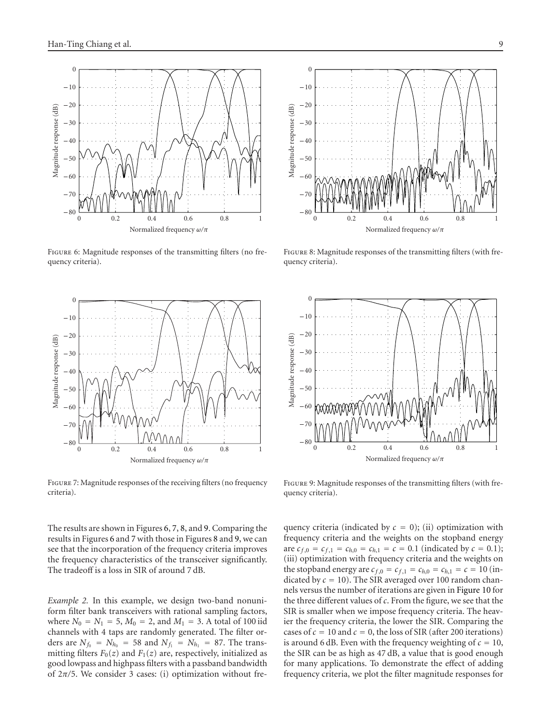

<span id="page-8-0"></span>FIGURE 6: Magnitude responses of the transmitting filters (no frequency criteria).



<span id="page-8-1"></span>Figure 7: Magnitude responses of the receiving filters (no frequency criteria).

The results are shown in Figures [6,](#page-8-0) [7,](#page-8-1) [8,](#page-8-2) and [9.](#page-8-3) Comparing the results in Figures [6](#page-8-0) and [7](#page-8-1) with those in Figures [8](#page-8-2) and [9,](#page-8-3) we can see that the incorporation of the frequency criteria improves the frequency characteristics of the transceiver significantly. The tradeoff is a loss in SIR of around 7 dB.

*Example 2.* In this example, we design two-band nonuniform filter bank transceivers with rational sampling factors, where  $N_0 = N_1 = 5$ ,  $M_0 = 2$ , and  $M_1 = 3$ . A total of 100 iid channels with 4 taps are randomly generated. The filter orders are  $N_{f_0} = N_{h_0} = 58$  and  $N_{f_1} = N_{h_1} = 87$ . The transmitting filters  $F_0(z)$  and  $F_1(z)$  are, respectively, initialized as good lowpass and highpass filters with a passband bandwidth of 2*π/*5. We consider 3 cases: (i) optimization without fre-



<span id="page-8-2"></span>FIGURE 8: Magnitude responses of the transmitting filters (with frequency criteria).



<span id="page-8-3"></span>FIGURE 9: Magnitude responses of the transmitting filters (with frequency criteria).

quency criteria (indicated by  $c = 0$ ); (ii) optimization with frequency criteria and the weights on the stopband energy are  $c_{f,0} = c_{f,1} = c_{h,0} = c_{h,1} = c = 0.1$  (indicated by  $c = 0.1$ ); (iii) optimization with frequency criteria and the weights on the stopband energy are  $c_{f,0} = c_{f,1} = c_{h,0} = c_{h,1} = c = 10$  (indicated by  $c = 10$ ). The SIR averaged over 100 random channels versus the number of iterations are given in [Figure 10](#page-9-1) for the three different values of *c*. From the figure, we see that the SIR is smaller when we impose frequency criteria. The heavier the frequency criteria, the lower the SIR. Comparing the cases of  $c = 10$  and  $c = 0$ , the loss of SIR (after 200 iterations) is around 6 dB. Even with the frequency weighting of  $c = 10$ , the SIR can be as high as 47 dB, a value that is good enough for many applications. To demonstrate the effect of adding frequency criteria, we plot the filter magnitude responses for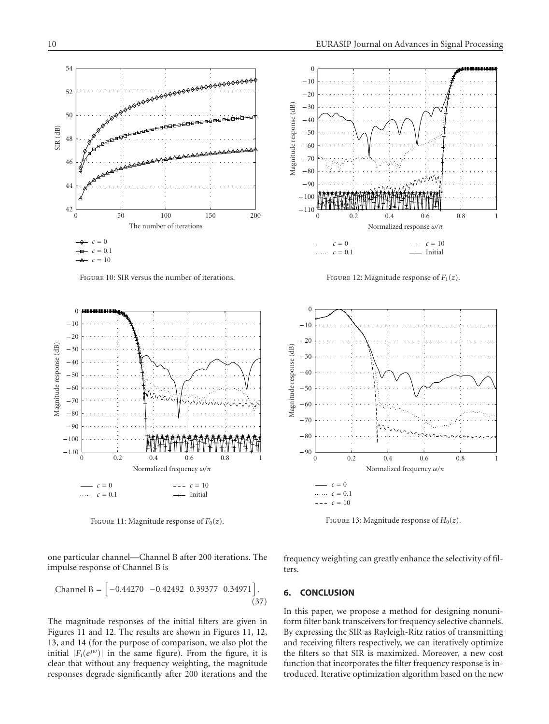

Figure 10: SIR versus the number of iterations.

<span id="page-9-1"></span>

<span id="page-9-2"></span>FIGURE 11: Magnitude response of  $F_0(z)$ .



FIGURE 12: Magnitude response of  $F_1(z)$ .

<span id="page-9-3"></span>

<span id="page-9-4"></span>FIGURE 13: Magnitude response of  $H_0(z)$ .

one particular channel—Channel B after 200 iterations. The impulse response of Channel B is

$$
Channel B = \begin{bmatrix} -0.44270 & -0.42492 & 0.39377 & 0.34971 \end{bmatrix}.
$$
\n(37)

The magnitude responses of the initial filters are given in Figures [11](#page-9-2) and [12.](#page-9-3) The results are shown in Figures [11,](#page-9-2) [12,](#page-9-3) [13,](#page-9-4) and [14](#page-10-14) (for the purpose of comparison, we also plot the initial  $|F_i(e^{j\omega})|$  in the same figure). From the figure, it is clear that without any frequency weighting, the magnitude responses degrade significantly after 200 iterations and the frequency weighting can greatly enhance the selectivity of filters.

# <span id="page-9-0"></span>**6. CONCLUSION**

In this paper, we propose a method for designing nonuniform filter bank transceivers for frequency selective channels. By expressing the SIR as Rayleigh-Ritz ratios of transmitting and receiving filters respectively, we can iteratively optimize the filters so that SIR is maximized. Moreover, a new cost function that incorporates the filter frequency response is introduced. Iterative optimization algorithm based on the new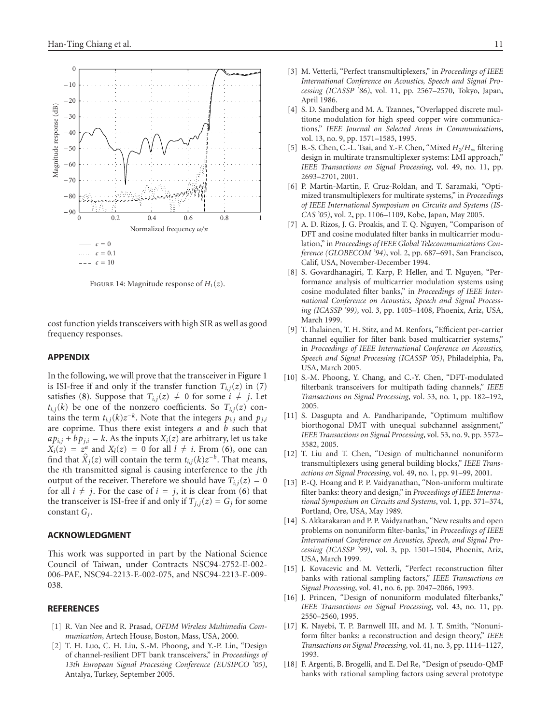

<span id="page-10-14"></span>FIGURE 14: Magnitude response of  $H_1(z)$ .

cost function yields transceivers with high SIR as well as good frequency responses.

#### **APPENDIX**

In the following, we will prove that the transceiver in [Figure 1](#page-1-1) is ISI-free if and only if the transfer function  $T_{i,j}(z)$  in [\(7\)](#page-2-3) satisfies [\(8\)](#page-2-4). Suppose that  $T_{i,j}(z) \neq 0$  for some  $i \neq j$ . Let  $t_{i,j}(k)$  be one of the nonzero coefficients. So  $T_{i,j}(z)$  contains the term  $t_{i,j}(k)z^{-k}$ . Note that the integers  $p_{i,j}$  and  $p_{j,i}$ are coprime. Thus there exist integers *a* and *b* such that  $a p_{i,j} + b p_{j,i} = k$ . As the inputs  $X_i(z)$  are arbitrary, let us take  $X_i(z) = z^a$  and  $X_i(z) = 0$  for all  $l \neq i$ . From [\(6\)](#page-2-5), one can find that  $\hat{X}_j(z)$  will contain the term  $t_{i,j}(k)z^{-b}$ . That means, the *i*th transmitted signal is causing interference to the *j*th output of the receiver. Therefore we should have  $T_{i,j}(z) = 0$ for all  $i \neq j$ . For the case of  $i = j$ , it is clear from [\(6\)](#page-2-5) that the transceiver is ISI-free if and only if  $T_{j,i}(z) = G_j$  for some constant *Gj*.

#### **ACKNOWLEDGMENT**

This work was supported in part by the National Science Council of Taiwan, under Contracts NSC94-2752-E-002- 006-PAE, NSC94-2213-E-002-075, and NSC94-2213-E-009- 038.

#### <span id="page-10-1"></span><span id="page-10-0"></span>**REFERENCES**

- [1] R. Van Nee and R. Prasad, *OFDM Wireless Multimedia Communication*, Artech House, Boston, Mass, USA, 2000.
- <span id="page-10-2"></span>[2] T. H. Luo, C. H. Liu, S.-M. Phoong, and Y.-P. Lin, "Design of channel-resilient DFT bank transceivers," in *Proceedings of 13th European Signal Processing Conference (EUSIPCO '05)*, Antalya, Turkey, September 2005.
- <span id="page-10-4"></span>[3] M. Vetterli, "Perfect transmultiplexers," in *Proceedings of IEEE International Conference on Acoustics, Speech and Signal Processing (ICASSP '86)*, vol. 11, pp. 2567–2570, Tokyo, Japan, April 1986.
- <span id="page-10-8"></span>[4] S. D. Sandberg and M. A. Tzannes, "Overlapped discrete multitone modulation for high speed copper wire communications," *IEEE Journal on Selected Areas in Communications*, vol. 13, no. 9, pp. 1571–1585, 1995.
- [5] B.-S. Chen, C.-L. Tsai, and Y.-F. Chen, "Mixed *H*2*/H*<sup>∞</sup> filtering design in multirate transmultiplexer systems: LMI approach," *IEEE Transactions on Signal Processing*, vol. 49, no. 11, pp. 2693–2701, 2001.
- <span id="page-10-5"></span>[6] P. Martin-Martin, F. Cruz-Roldan, and T. Saramaki, "Optimized transmultiplexers for multirate systems," in *Proceedings of IEEE International Symposium on Circuits and Systems (IS-CAS '05)*, vol. 2, pp. 1106–1109, Kobe, Japan, May 2005.
- <span id="page-10-6"></span>[7] A. D. Rizos, J. G. Proakis, and T. Q. Nguyen, "Comparison of DFT and cosine modulated filter banks in multicarrier modulation," in *Proceedings of IEEE Global Telecommunications Conference (GLOBECOM '94)*, vol. 2, pp. 687–691, San Francisco, Calif, USA, November-December 1994.
- <span id="page-10-7"></span>[8] S. Govardhanagiri, T. Karp, P. Heller, and T. Nguyen, "Performance analysis of multicarrier modulation systems using cosine modulated filter banks," in *Proceedings of IEEE International Conference on Acoustics, Speech and Signal Processing (ICASSP '99)*, vol. 3, pp. 1405–1408, Phoenix, Ariz, USA, March 1999.
- [9] T. Ihalainen, T. H. Stitz, and M. Renfors, "Efficient per-carrier channel equilier for filter bank based multicarrier systems," in *Proceedings of IEEE International Conference on Acoustics, Speech and Signal Processing (ICASSP '05)*, Philadelphia, Pa, USA, March 2005.
- <span id="page-10-3"></span>[10] S.-M. Phoong, Y. Chang, and C.-Y. Chen, "DFT-modulated filterbank transceivers for multipath fading channels," *IEEE Transactions on Signal Processing*, vol. 53, no. 1, pp. 182–192, 2005.
- <span id="page-10-9"></span>[11] S. Dasgupta and A. Pandharipande, "Optimum multiflow biorthogonal DMT with unequal subchannel assignment," *IEEE Transactions on Signal Processing*, vol. 53, no. 9, pp. 3572– 3582, 2005.
- <span id="page-10-10"></span>[12] T. Liu and T. Chen, "Design of multichannel nonuniform transmultiplexers using general building blocks," *IEEE Transactions on Signal Processing*, vol. 49, no. 1, pp. 91–99, 2001.
- <span id="page-10-11"></span>[13] P.-Q. Hoang and P. P. Vaidyanathan, "Non-uniform multirate filter banks: theory and design," in *Proceedings of IEEE International Symposium on Circuits and Systems*, vol. 1, pp. 371–374, Portland, Ore, USA, May 1989.
- [14] S. Akkarakaran and P. P. Vaidyanathan, "New results and open problems on nonuniform filter-banks," in *Proceedings of IEEE International Conference on Acoustics, Speech, and Signal Processing (ICASSP '99)*, vol. 3, pp. 1501–1504, Phoenix, Ariz, USA, March 1999.
- <span id="page-10-13"></span>[15] J. Kovacevic and M. Vetterli, "Perfect reconstruction filter banks with rational sampling factors," *IEEE Transactions on Signal Processing*, vol. 41, no. 6, pp. 2047–2066, 1993.
- [16] J. Princen, "Design of nonuniform modulated filterbanks," *IEEE Transactions on Signal Processing*, vol. 43, no. 11, pp. 2550–2560, 1995.
- [17] K. Nayebi, T. P. Barnwell III, and M. J. T. Smith, "Nonuniform filter banks: a reconstruction and design theory," *IEEE Transactions on Signal Processing*, vol. 41, no. 3, pp. 1114–1127, 1993.
- <span id="page-10-12"></span>[18] F. Argenti, B. Brogelli, and E. Del Re, "Design of pseudo-QMF banks with rational sampling factors using several prototype